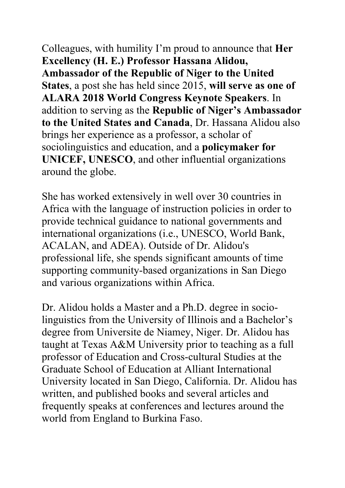Colleagues, with humility I'm proud to announce that **Her Excellency (H. E.) Professor Hassana Alidou, Ambassador of the Republic of Niger to the United States**, a post she has held since 2015, **will serve as one of ALARA 2018 World Congress Keynote Speakers**. In addition to serving as the **Republic of Niger's Ambassador to the United States and Canada**, Dr. Hassana Alidou also brings her experience as a professor, a scholar of sociolinguistics and education, and a **policymaker for UNICEF, UNESCO**, and other influential organizations around the globe.

She has worked extensively in well over 30 countries in Africa with the language of instruction policies in order to provide technical guidance to national governments and international organizations (i.e., UNESCO, World Bank, ACALAN, and ADEA). Outside of Dr. Alidou's professional life, she spends significant amounts of time supporting community-based organizations in San Diego and various organizations within Africa.

Dr. Alidou holds a Master and a Ph.D. degree in sociolinguistics from the University of Illinois and a Bachelor's degree from Universite de Niamey, Niger. Dr. Alidou has taught at Texas A&M University prior to teaching as a full professor of Education and Cross-cultural Studies at the Graduate School of Education at Alliant International University located in San Diego, California. Dr. Alidou has written, and published books and several articles and frequently speaks at conferences and lectures around the world from England to Burkina Faso.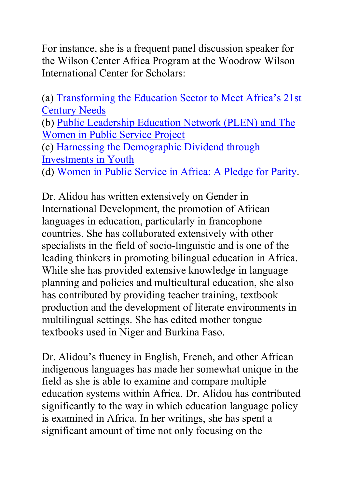For instance, she is a frequent panel discussion speaker for the Wilson Center Africa Program at the Woodrow Wilson International Center for Scholars:

(a) Transforming the Education Sector to Meet Africa's 21st Century Needs (b) Public Leadership Education Network (PLEN) and The Women in Public Service Project (c) Harnessing the Demographic Dividend through Investments in Youth (d) Women in Public Service in Africa: A Pledge for Parity.

Dr. Alidou has written extensively on Gender in International Development, the promotion of African languages in education, particularly in francophone countries. She has collaborated extensively with other specialists in the field of socio-linguistic and is one of the leading thinkers in promoting bilingual education in Africa. While she has provided extensive knowledge in language planning and policies and multicultural education, she also has contributed by providing teacher training, textbook production and the development of literate environments in multilingual settings. She has edited mother tongue textbooks used in Niger and Burkina Faso.

Dr. Alidou's fluency in English, French, and other African indigenous languages has made her somewhat unique in the field as she is able to examine and compare multiple education systems within Africa. Dr. Alidou has contributed significantly to the way in which education language policy is examined in Africa. In her writings, she has spent a significant amount of time not only focusing on the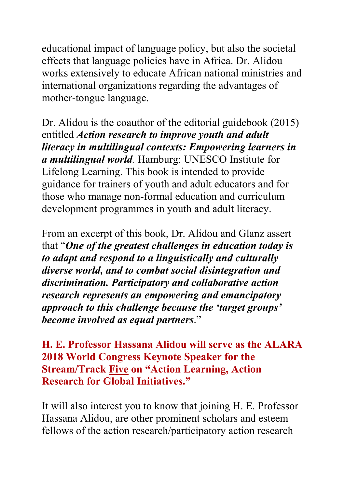educational impact of language policy, but also the societal effects that language policies have in Africa. Dr. Alidou works extensively to educate African national ministries and international organizations regarding the advantages of mother-tongue language.

Dr. Alidou is the coauthor of the editorial guidebook (2015) entitled *Action research to improve youth and adult literacy in multilingual contexts: Empowering learners in a multilingual world.* Hamburg: UNESCO Institute for Lifelong Learning. This book is intended to provide guidance for trainers of youth and adult educators and for those who manage non-formal education and curriculum development programmes in youth and adult literacy.

From an excerpt of this book, Dr. Alidou and Glanz assert that "*One of the greatest challenges in education today is to adapt and respond to a linguistically and culturally diverse world, and to combat social disintegration and discrimination. Participatory and collaborative action research represents an empowering and emancipatory approach to this challenge because the 'target groups' become involved as equal partners*."

## **H. E. Professor Hassana Alidou will serve as the ALARA 2018 World Congress Keynote Speaker for the Stream/Track Five on "Action Learning, Action Research for Global Initiatives."**

It will also interest you to know that joining H. E. Professor Hassana Alidou, are other prominent scholars and esteem fellows of the action research/participatory action research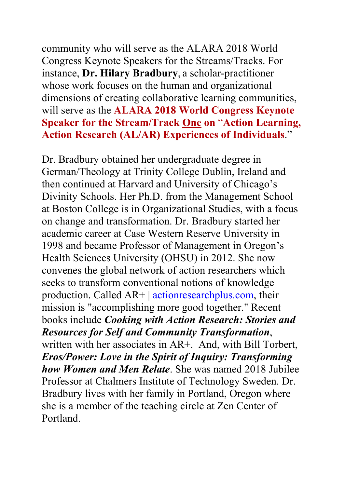community who will serve as the ALARA 2018 World Congress Keynote Speakers for the Streams/Tracks. For instance, **Dr. Hilary Bradbury**, a scholar-practitioner whose work focuses on the human and organizational dimensions of creating collaborative learning communities, will serve as the **ALARA 2018 World Congress Keynote Speaker for the Stream/Track One on** "**Action Learning, Action Research (AL/AR) Experiences of Individuals**."

Dr. Bradbury obtained her undergraduate degree in German/Theology at Trinity College Dublin, Ireland and then continued at Harvard and University of Chicago's Divinity Schools. Her Ph.D. from the Management School at Boston College is in Organizational Studies, with a focus on change and transformation. Dr. Bradbury started her academic career at Case Western Reserve University in 1998 and became Professor of Management in Oregon's Health Sciences University (OHSU) in 2012. She now convenes the global network of action researchers which seeks to transform conventional notions of knowledge production. Called AR+ | actionresearchplus.com, their mission is "accomplishing more good together." Recent books include *Cooking with Action Research: Stories and Resources for Self and Community Transformation*, written with her associates in AR+. And, with Bill Torbert, *Eros/Power: Love in the Spirit of Inquiry: Transforming how Women and Men Relate*. She was named 2018 Jubilee Professor at Chalmers Institute of Technology Sweden. Dr. Bradbury lives with her family in Portland, Oregon where she is a member of the teaching circle at Zen Center of Portland.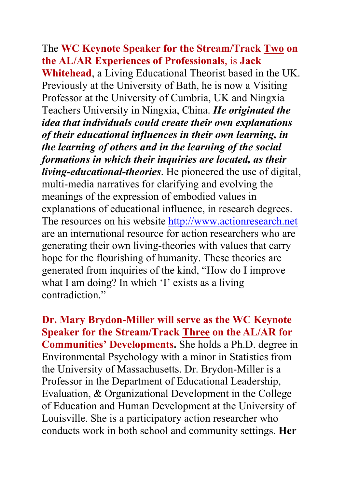## The **WC Keynote Speaker for the Stream/Track Two on the AL/AR Experiences of Professionals**, is **Jack**

**Whitehead**, a Living Educational Theorist based in the UK. Previously at the University of Bath, he is now a Visiting Professor at the University of Cumbria, UK and Ningxia Teachers University in Ningxia, China. *He originated the idea that individuals could create their own explanations of their educational influences in their own learning, in the learning of others and in the learning of the social formations in which their inquiries are located, as their living-educational-theories*. He pioneered the use of digital, multi-media narratives for clarifying and evolving the meanings of the expression of embodied values in explanations of educational influence, in research degrees. The resources on his website http://www.actionresearch.net are an international resource for action researchers who are generating their own living-theories with values that carry hope for the flourishing of humanity. These theories are generated from inquiries of the kind, "How do I improve what I am doing? In which 'I' exists as a living contradiction"

**Dr. Mary Brydon-Miller will serve as the WC Keynote Speaker for the Stream/Track Three on the AL/AR for Communities' Developments.** She holds a Ph.D. degree in Environmental Psychology with a minor in Statistics from the University of Massachusetts. Dr. Brydon-Miller is a Professor in the Department of Educational Leadership, Evaluation, & Organizational Development in the College of Education and Human Development at the University of Louisville. She is a participatory action researcher who conducts work in both school and community settings. **Her**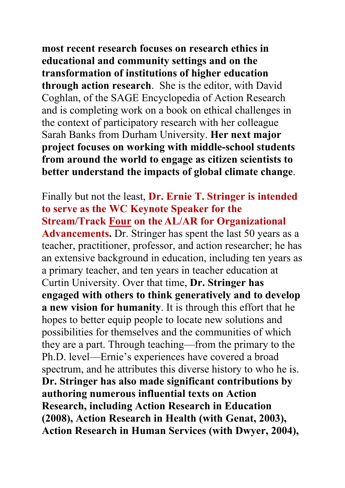**most recent research focuses on research ethics in educational and community settings and on the transformation of institutions of higher education through action research**. She is the editor, with David Coghlan, of the SAGE Encyclopedia of Action Research and is completing work on a book on ethical challenges in the context of participatory research with her colleague Sarah Banks from Durham University. **Her next major project focuses on working with middle-school students from around the world to engage as citizen scientists to better understand the impacts of global climate change**.

Finally but not the least, **Dr. Ernie T. Stringer is intended to serve as the WC Keynote Speaker for the Stream/Track Four on the AL/AR for Organizational Advancements.** Dr. Stringer has spent the last 50 years as a teacher, practitioner, professor, and action researcher; he has an extensive background in education, including ten years as a primary teacher, and ten years in teacher education at Curtin University. Over that time, **Dr. Stringer has engaged with others to think generatively and to develop a new vision for humanity**. It is through this effort that he hopes to better equip people to locate new solutions and possibilities for themselves and the communities of which they are a part. Through teaching—from the primary to the Ph.D. level—Ernie's experiences have covered a broad spectrum, and he attributes this diverse history to who he is. **Dr. Stringer has also made significant contributions by authoring numerous influential texts on Action Research, including Action Research in Education (2008), Action Research in Health (with Genat, 2003), Action Research in Human Services (with Dwyer, 2004),**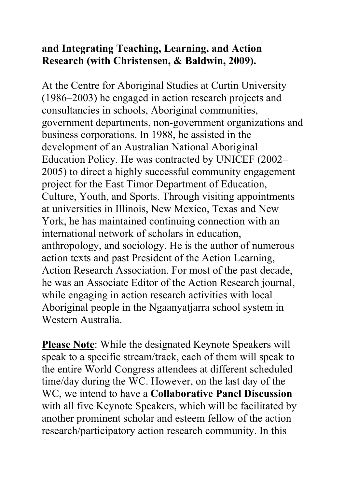## **and Integrating Teaching, Learning, and Action Research (with Christensen, & Baldwin, 2009).**

At the Centre for Aboriginal Studies at Curtin University (1986–2003) he engaged in action research projects and consultancies in schools, Aboriginal communities, government departments, non-government organizations and business corporations. In 1988, he assisted in the development of an Australian National Aboriginal Education Policy. He was contracted by UNICEF (2002– 2005) to direct a highly successful community engagement project for the East Timor Department of Education, Culture, Youth, and Sports. Through visiting appointments at universities in Illinois, New Mexico, Texas and New York, he has maintained continuing connection with an international network of scholars in education, anthropology, and sociology. He is the author of numerous action texts and past President of the Action Learning, Action Research Association. For most of the past decade, he was an Associate Editor of the Action Research journal, while engaging in action research activities with local Aboriginal people in the Ngaanyatjarra school system in Western Australia.

**Please Note**: While the designated Keynote Speakers will speak to a specific stream/track, each of them will speak to the entire World Congress attendees at different scheduled time/day during the WC. However, on the last day of the WC, we intend to have a **Collaborative Panel Discussion** with all five Keynote Speakers, which will be facilitated by another prominent scholar and esteem fellow of the action research/participatory action research community. In this